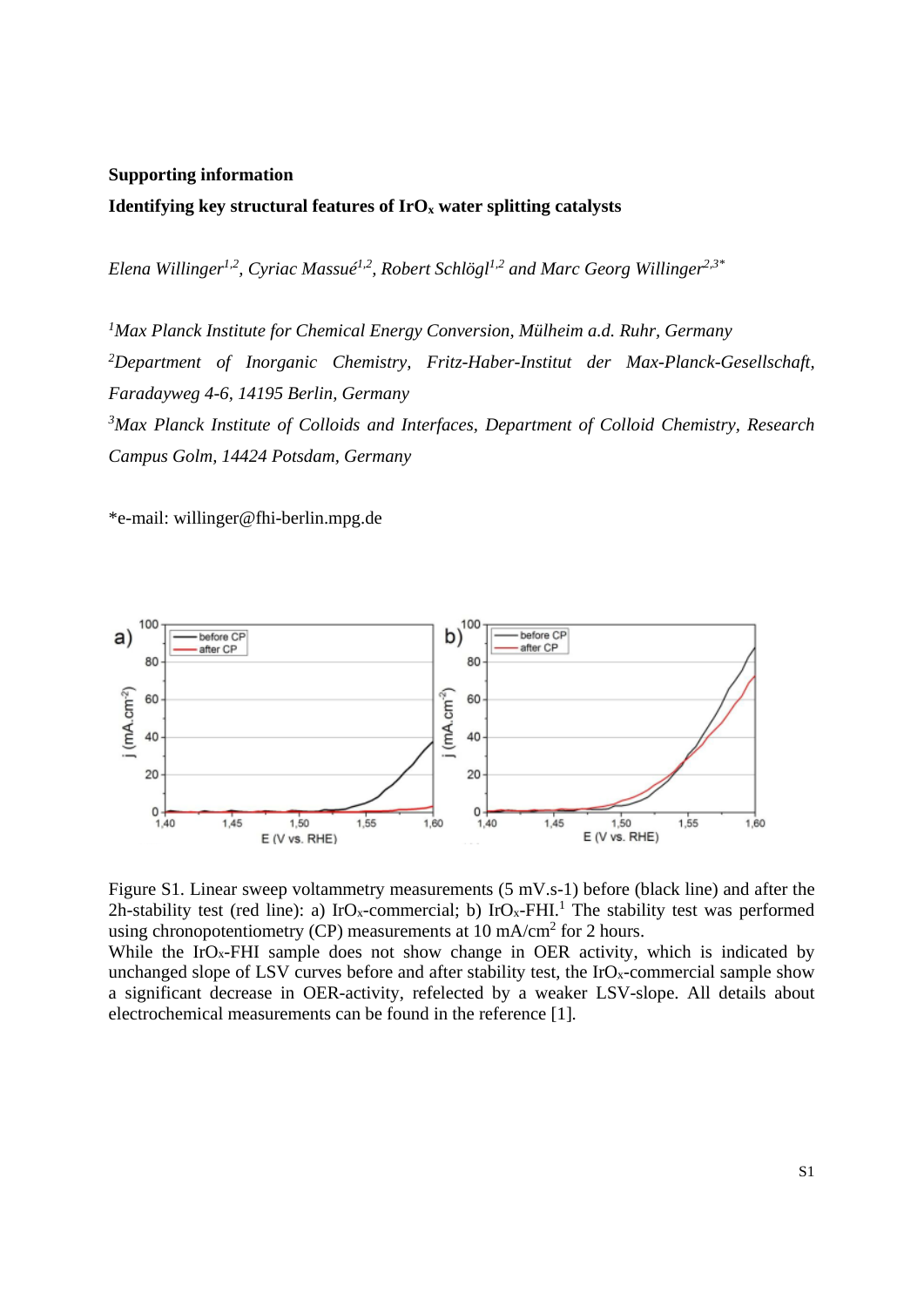## **Supporting information**

## Identifying key structural features of IrO<sub>x</sub> water splitting catalysts

*Elena Willinger1,2, Cyriac Massué1,2, Robert Schlögl1,2 and Marc Georg Willinger2,3\** 

<sup>1</sup> Max Planck Institute for Chemical Energy Conversion, Mülheim a.d. Ruhr, Germany *2 Department of Inorganic Chemistry, Fritz-Haber-Institut der Max-Planck-Gesellschaft, Faradayweg 4-6, 14195 Berlin, Germany 3 Max Planck Institute of Colloids and Interfaces, Department of Colloid Chemistry, Research Campus Golm, 14424 Potsdam, Germany* 

\*e-mail: willinger@fhi-berlin.mpg.de





While the IrO<sub>x</sub>-FHI sample does not show change in OER activity, which is indicated by unchanged slope of LSV curves before and after stability test, the  $IrO_x$ -commercial sample show a significant decrease in OER-activity, refelected by a weaker LSV-slope. All details about electrochemical measurements can be found in the reference [1].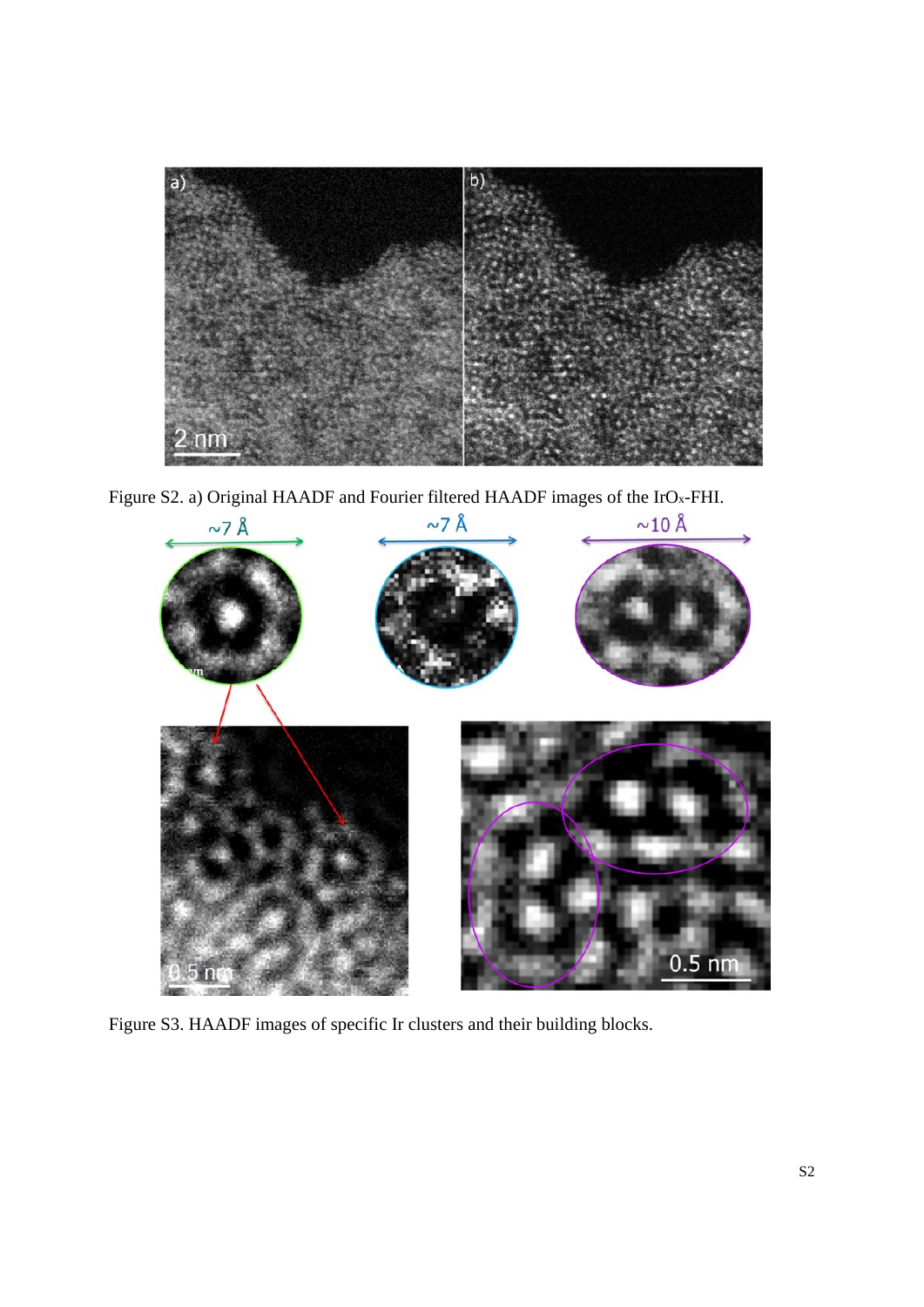

Figure S2. a) Original HAADF and Fourier filtered HAADF images of the IrOx-FHI.



Figure S3. HAADF images of specific Ir clusters and their building blocks.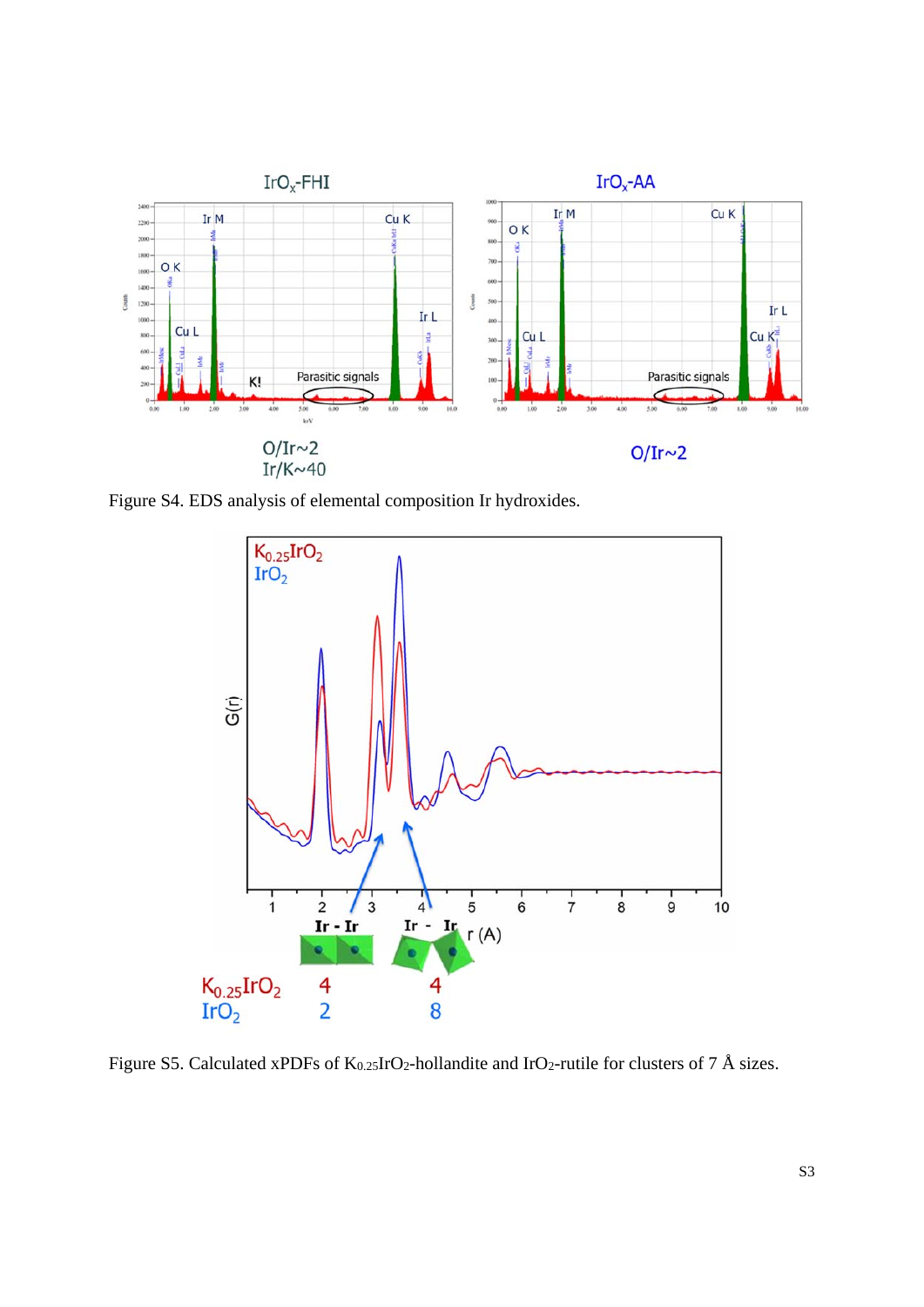

Figure S4. EDS analysis of elemental composition Ir hydroxides.



Figure S5. Calculated xPDFs of K<sub>0.25</sub>IrO<sub>2</sub>-hollandite and IrO<sub>2</sub>-rutile for clusters of 7 Å sizes.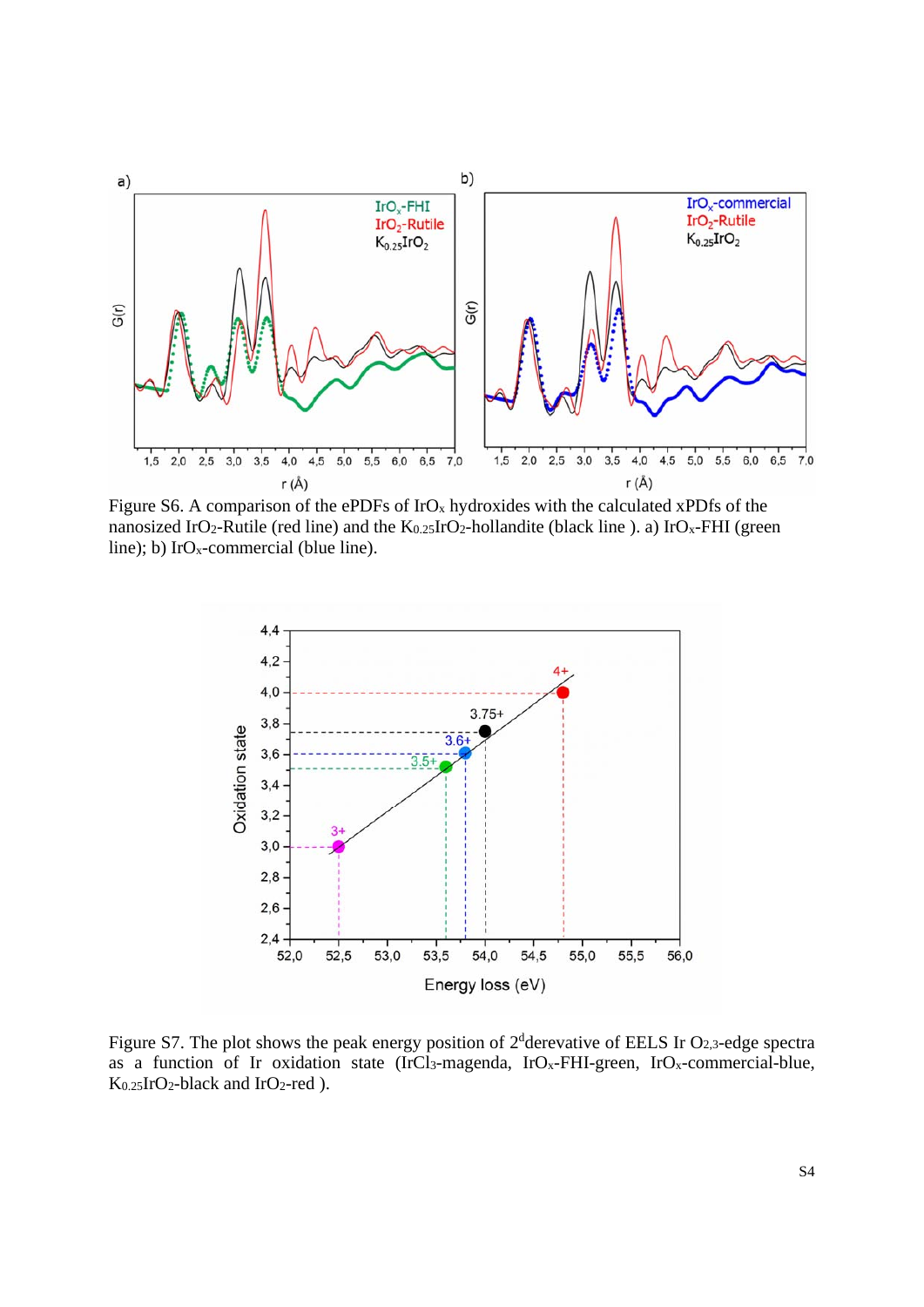

Figure S6. A comparison of the ePDFs of IrO<sub>x</sub> hydroxides with the calculated xPDfs of the nanosized IrO<sub>2</sub>-Rutile (red line) and the K<sub>0.25</sub>IrO<sub>2</sub>-hollandite (black line ). a) IrO<sub>x</sub>-FHI (green line); b)  $IrO_x$ -commercial (blue line).



Figure S7. The plot shows the peak energy position of  $2^d$ derevative of EELS Ir O<sub>2,3</sub>-edge spectra as a function of Ir oxidation state (IrCl<sub>3</sub>-magenda, IrO<sub>x</sub>-FHI-green, IrO<sub>x</sub>-commercial-blue, K0.25IrO2-black and IrO2-red ).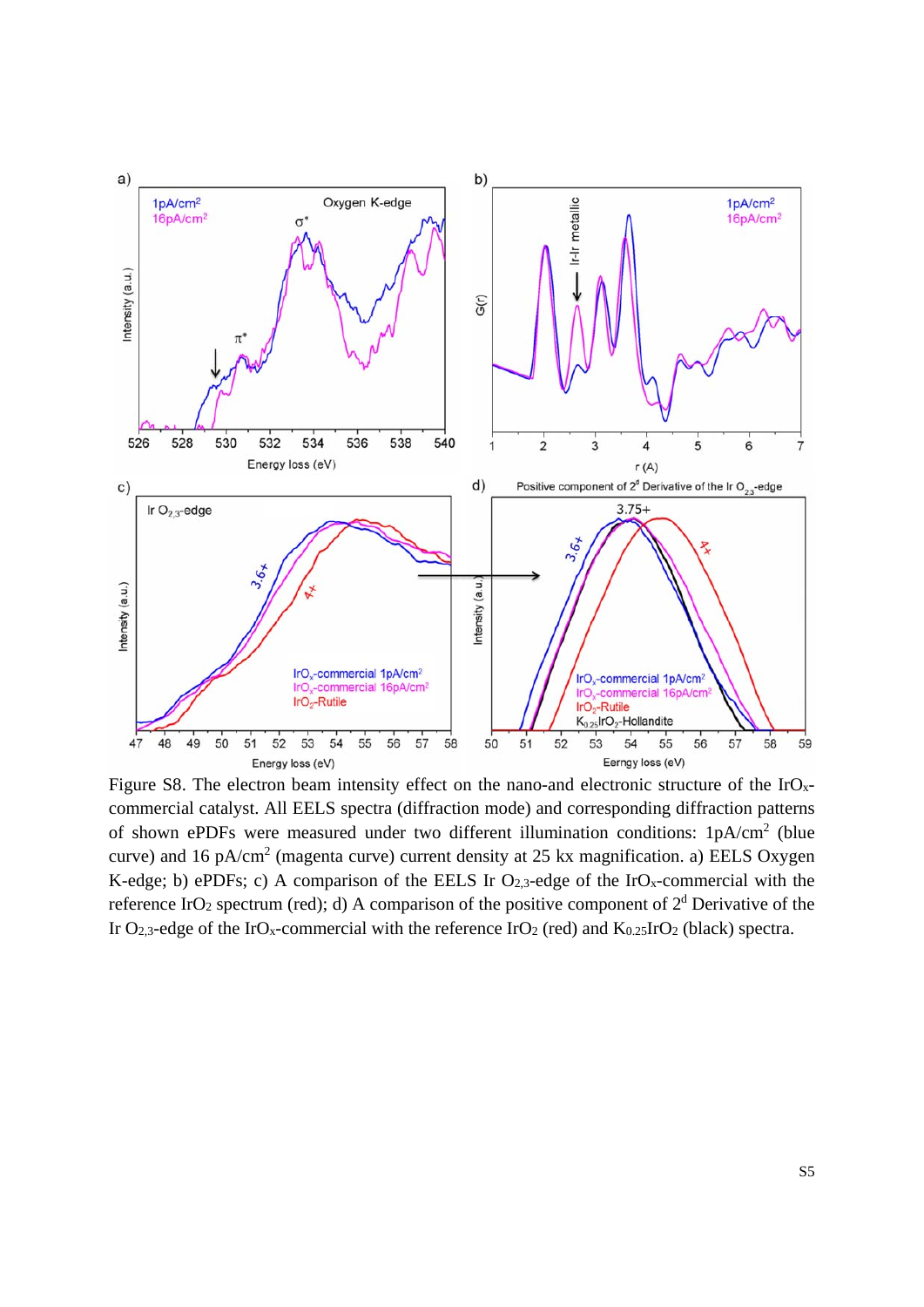

Figure S8. The electron beam intensity effect on the nano-and electronic structure of the  $IrO<sub>x</sub>$ commercial catalyst. All EELS spectra (diffraction mode) and corresponding diffraction patterns of shown ePDFs were measured under two different illumination conditions: 1pA/cm<sup>2</sup> (blue curve) and 16 pA/cm<sup>2</sup> (magenta curve) current density at 25 kx magnification. a) EELS Oxygen K-edge; b) ePDFs; c) A comparison of the EELS Ir O<sub>2,3</sub>-edge of the IrO<sub>x</sub>-commercial with the reference IrO<sub>2</sub> spectrum (red); d) A comparison of the positive component of  $2<sup>d</sup>$  Derivative of the Ir O<sub>2,3</sub>-edge of the IrO<sub>x</sub>-commercial with the reference IrO<sub>2</sub> (red) and K<sub>0.25</sub>IrO<sub>2</sub> (black) spectra.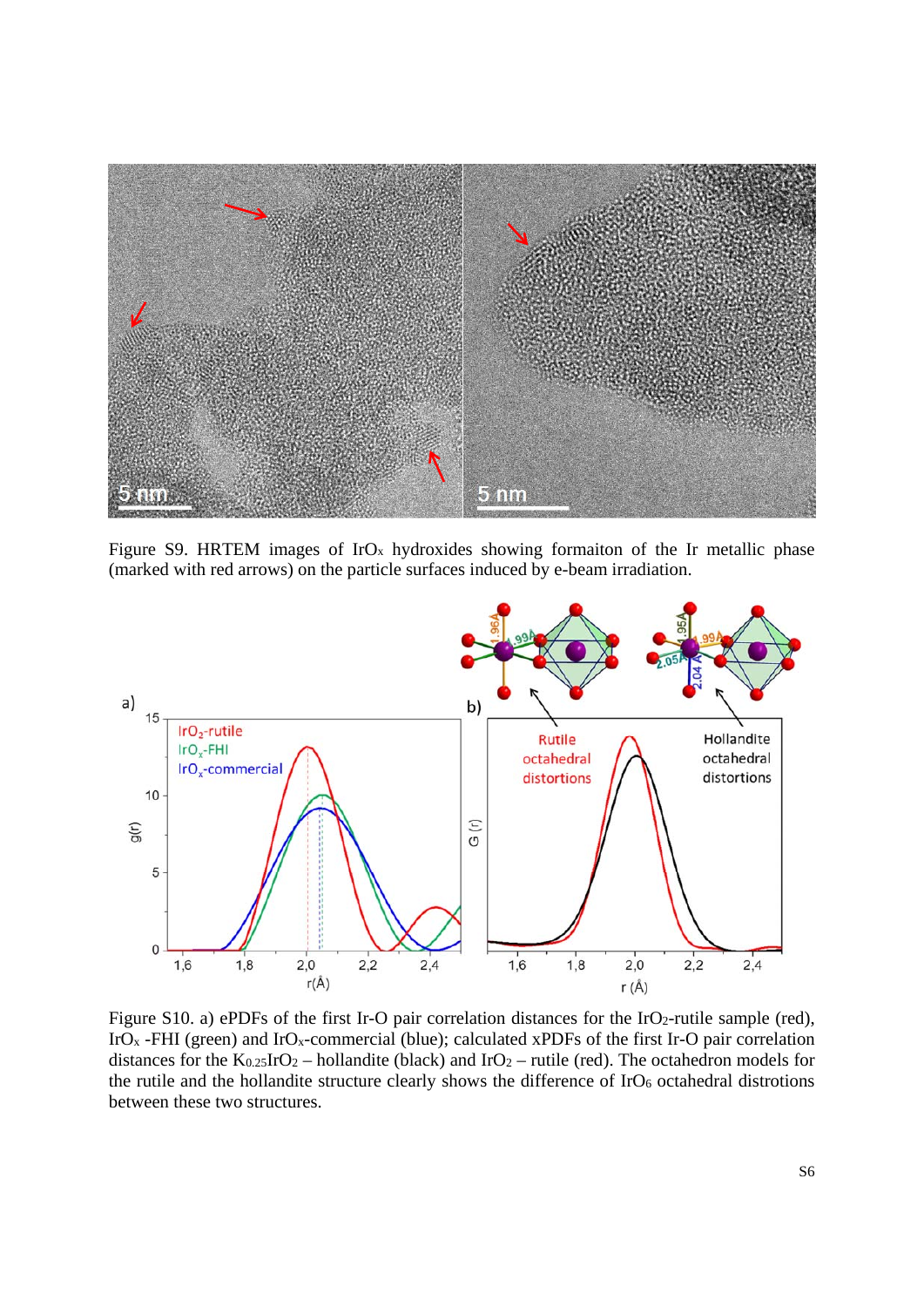

Figure S9. HRTEM images of  $IrO<sub>x</sub>$  hydroxides showing formaiton of the Ir metallic phase (marked with red arrows) on the particle surfaces induced by e-beam irradiation.



Figure S10. a) ePDFs of the first Ir-O pair correlation distances for the IrO2-rutile sample (red), IrO<sub>x</sub> -FHI (green) and IrO<sub>x</sub>-commercial (blue); calculated xPDFs of the first Ir-O pair correlation distances for the  $K_{0.25}IrO_2$  – hollandite (black) and  $IrO_2$  – rutile (red). The octahedron models for the rutile and the hollandite structure clearly shows the difference of IrO<sub>6</sub> octahedral distrotions between these two structures.